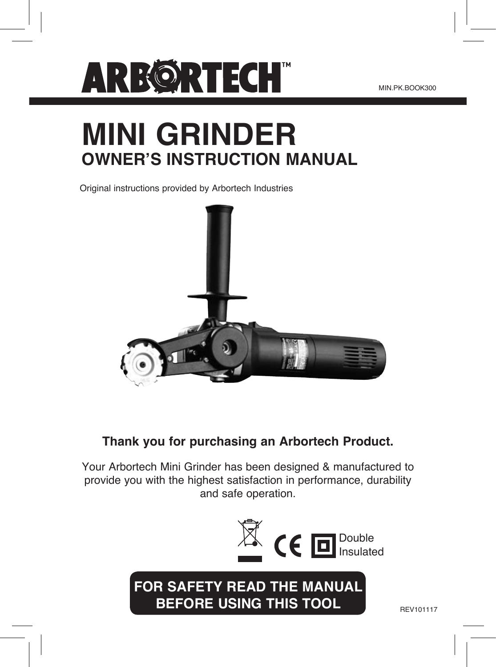

# **MINI GRINDER OWNER'S INSTRUCTION MANUAL**

Original instructions provided by Arbortech Industries



### **Thank you for purchasing an Arbortech Product.**

Your Arbortech Mini Grinder has been designed & manufactured to provide you with the highest satisfaction in performance, durability and safe operation.

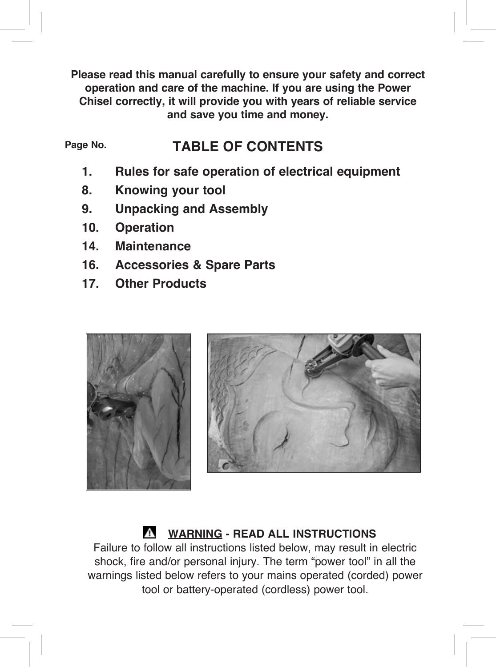**Please read this manual carefully to ensure your safety and correct operation and care of the machine. If you are using the Power Chisel correctly, it will provide you with years of reliable service and save you time and money.**

#### **TABLE OF CONTENTS Page No.**

- **1. Rules for safe operation of electrical equipment**
- **8. Knowing your tool**
- **9. Unpacking and Assembly**
- **10. Operation**
- **14. Maintenance**
- **16. Accessories & Spare Parts**
- **17. Other Products**





### **WARNING - READ ALL INSTRUCTIONS**

Failure to follow all instructions listed below, may result in electric shock, fire and/or personal injury. The term "power tool" in all the warnings listed below refers to your mains operated (corded) power tool or battery-operated (cordless) power tool.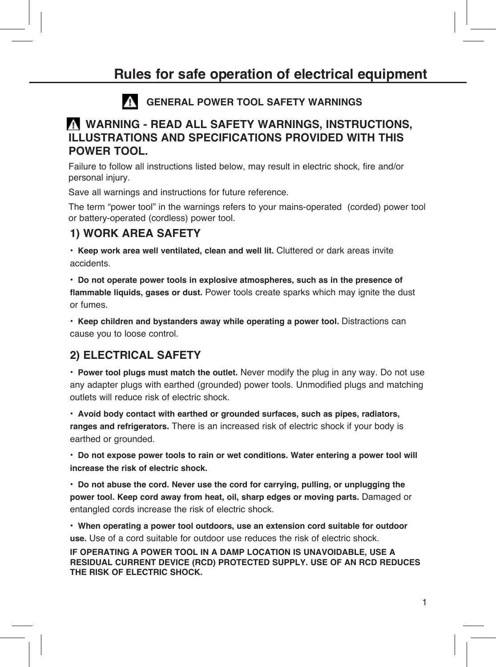### **GENERAL POWER TOOL SAFETY WARNINGS**

### **WARNING - READ ALL SAFETY WARNINGS, INSTRUCTIONS, ILLUSTRATIONS AND SPECIFICATIONS PROVIDED WITH THIS POWER TOOL.**

Failure to follow all instructions listed below, may result in electric shock, fire and/or personal injury.

Save all warnings and instructions for future reference.

The term "power tool" in the warnings refers to your mains-operated (corded) power tool or battery-operated (cordless) power tool.

### **1) WORK AREA SAFETY**

• **Keep work area well ventilated, clean and well lit.** Cluttered or dark areas invite accidents.

• **Do not operate power tools in explosive atmospheres, such as in the presence of flammable liquids, gases or dust.** Power tools create sparks which may ignite the dust or fumes.

• **Keep children and bystanders away while operating a power tool.** Distractions can cause you to loose control.

### **2) ELECTRICAL SAFETY**

• **Power tool plugs must match the outlet.** Never modify the plug in any way. Do not use any adapter plugs with earthed (grounded) power tools. Unmodified plugs and matching outlets will reduce risk of electric shock.

• **Avoid body contact with earthed or grounded surfaces, such as pipes, radiators, ranges and refrigerators.** There is an increased risk of electric shock if your body is earthed or grounded.

• **Do not expose power tools to rain or wet conditions. Water entering a power tool will increase the risk of electric shock.**

• **Do not abuse the cord. Never use the cord for carrying, pulling, or unplugging the power tool. Keep cord away from heat, oil, sharp edges or moving parts.** Damaged or entangled cords increase the risk of electric shock.

• **When operating a power tool outdoors, use an extension cord suitable for outdoor use.** Use of a cord suitable for outdoor use reduces the risk of electric shock.

**IF OPERATING A POWER TOOL IN A DAMP LOCATION IS UNAVOIDABLE, USE A RESIDUAL CURRENT DEVICE (RCD) PROTECTED SUPPLY. USE OF AN RCD REDUCES THE RISK OF ELECTRIC SHOCK.**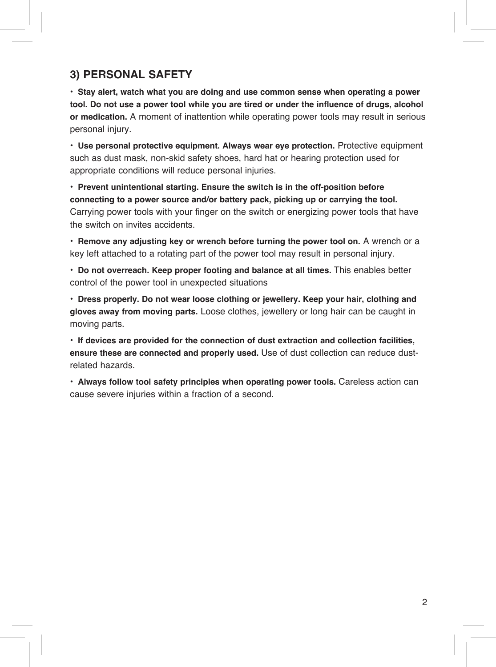### **3) PERSONAL SAFETY**

• **Stay alert, watch what you are doing and use common sense when operating a power tool. Do not use a power tool while you are tired or under the influence of drugs, alcohol or medication.** A moment of inattention while operating power tools may result in serious personal injury.

• **Use personal protective equipment. Always wear eye protection.** Protective equipment such as dust mask, non-skid safety shoes, hard hat or hearing protection used for appropriate conditions will reduce personal injuries.

• **Prevent unintentional starting. Ensure the switch is in the off-position before connecting to a power source and/or battery pack, picking up or carrying the tool.**  Carrying power tools with your finger on the switch or energizing power tools that have the switch on invites accidents.

• **Remove any adjusting key or wrench before turning the power tool on.** A wrench or a key left attached to a rotating part of the power tool may result in personal injury.

• **Do not overreach. Keep proper footing and balance at all times.** This enables better control of the power tool in unexpected situations

• **Dress properly. Do not wear loose clothing or jewellery. Keep your hair, clothing and gloves away from moving parts.** Loose clothes, jewellery or long hair can be caught in moving parts.

• **If devices are provided for the connection of dust extraction and collection facilities, ensure these are connected and properly used.** Use of dust collection can reduce dustrelated hazards.

• **Always follow tool safety principles when operating power tools.** Careless action can cause severe injuries within a fraction of a second.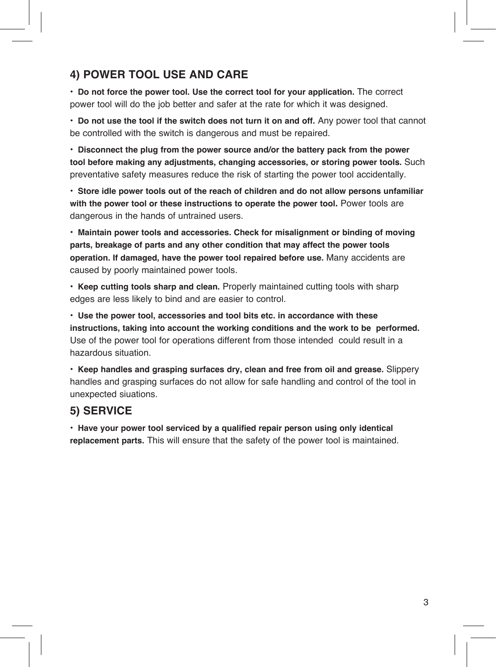### **4) POWER TOOL USE AND CARE**

• **Do not force the power tool. Use the correct tool for your application.** The correct power tool will do the job better and safer at the rate for which it was designed.

• **Do not use the tool if the switch does not turn it on and off.** Any power tool that cannot be controlled with the switch is dangerous and must be repaired.

• **Disconnect the plug from the power source and/or the battery pack from the power tool before making any adjustments, changing accessories, or storing power tools.** Such preventative safety measures reduce the risk of starting the power tool accidentally.

• **Store idle power tools out of the reach of children and do not allow persons unfamiliar with the power tool or these instructions to operate the power tool.** Power tools are dangerous in the hands of untrained users.

• **Maintain power tools and accessories. Check for misalignment or binding of moving parts, breakage of parts and any other condition that may affect the power tools operation. If damaged, have the power tool repaired before use.** Many accidents are caused by poorly maintained power tools.

• **Keep cutting tools sharp and clean.** Properly maintained cutting tools with sharp edges are less likely to bind and are easier to control.

• **Use the power tool, accessories and tool bits etc. in accordance with these instructions, taking into account the working conditions and the work to be performed.**  Use of the power tool for operations different from those intended could result in a hazardous situation.

• **Keep handles and grasping surfaces dry, clean and free from oil and grease.** Slippery handles and grasping surfaces do not allow for safe handling and control of the tool in unexpected siuations.

### **5) SERVICE**

• **Have your power tool serviced by a qualified repair person using only identical replacement parts.** This will ensure that the safety of the power tool is maintained.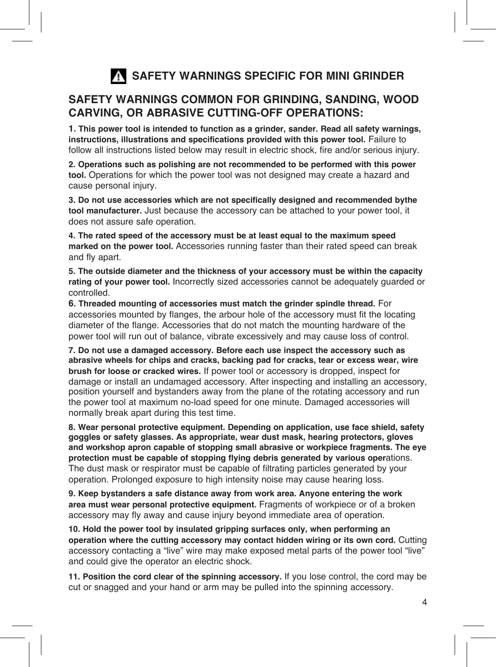# **SAFETY WARNINGS SPECIFIC FOR MINI GRINDER**

### **SAFETY WARNINGS COMMON FOR GRINDING, SANDING, WOOD CARVING, OR ABRASIVE CUTTING-OFF OPERATIONS:**

**1. This power tool is intended to function as a grinder, sander. Read all safety warnings, instructions, illustrations and specifications provided with this power tool.** Failure to follow all instructions listed below may result in electric shock, fire and/or serious injury.

**2. Operations such as polishing are not recommended to be performed with this power tool.** Operations for which the power tool was not designed may create a hazard and cause personal injury.

**3. Do not use accessories which are not specifically designed and recommended bythe tool manufacturer.** Just because the accessory can be attached to your power tool, it does not assure safe operation.

**4. The rated speed of the accessory must be at least equal to the maximum speed marked on the power tool.** Accessories running faster than their rated speed can break and fly apart.

**5. The outside diameter and the thickness of your accessory must be within the capacity rating of your power tool.** Incorrectly sized accessories cannot be adequately guarded or controlled.

**6. Threaded mounting of accessories must match the grinder spindle thread.** For accessories mounted by flanges, the arbour hole of the accessory must fit the locating diameter of the flange. Accessories that do not match the mounting hardware of the power tool will run out of balance, vibrate excessively and may cause loss of control.

**7. Do not use a damaged accessory. Before each use inspect the accessory such as abrasive wheels for chips and cracks, backing pad for cracks, tear or excess wear, wire brush for loose or cracked wires.** If power tool or accessory is dropped, inspect for damage or install an undamaged accessory. After inspecting and installing an accessory, position yourself and bystanders away from the plane of the rotating accessory and run the power tool at maximum no-load speed for one minute. Damaged accessories will normally break apart during this test time.

**8. Wear personal protective equipment. Depending on application, use face shield, safety goggles or safety glasses. As appropriate, wear dust mask, hearing protectors, gloves and workshop apron capable of stopping small abrasive or workpiece fragments. The eye protection must be capable of stopping flying debris generated by various oper**ations. The dust mask or respirator must be capable of filtrating particles generated by your operation. Prolonged exposure to high intensity noise may cause hearing loss.

**9. Keep bystanders a safe distance away from work area. Anyone entering the work area must wear personal protective equipment.** Fragments of workpiece or of a broken accessory may fly away and cause injury beyond immediate area of operation.

**10. Hold the power tool by insulated gripping surfaces only, when performing an operation where the cutting accessory may contact hidden wiring or its own cord.** Cutting accessory contacting a "live" wire may make exposed metal parts of the power tool "live" and could give the operator an electric shock.

**11. Position the cord clear of the spinning accessory.** If you lose control, the cord may be cut or snagged and your hand or arm may be pulled into the spinning accessory.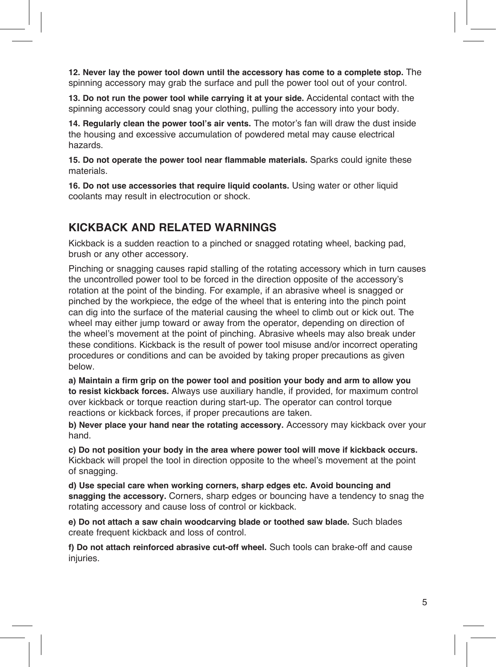**12. Never lay the power tool down until the accessory has come to a complete stop.** The spinning accessory may grab the surface and pull the power tool out of your control.

**13. Do not run the power tool while carrying it at your side.** Accidental contact with the spinning accessory could snag your clothing, pulling the accessory into your body.

**14. Regularly clean the power tool's air vents.** The motor's fan will draw the dust inside the housing and excessive accumulation of powdered metal may cause electrical hazards.

**15. Do not operate the power tool near flammable materials.** Sparks could ignite these materials.

**16. Do not use accessories that require liquid coolants.** Using water or other liquid coolants may result in electrocution or shock.

### **KICKBACK AND RELATED WARNINGS**

Kickback is a sudden reaction to a pinched or snagged rotating wheel, backing pad, brush or any other accessory.

Pinching or snagging causes rapid stalling of the rotating accessory which in turn causes the uncontrolled power tool to be forced in the direction opposite of the accessory's rotation at the point of the binding. For example, if an abrasive wheel is snagged or pinched by the workpiece, the edge of the wheel that is entering into the pinch point can dig into the surface of the material causing the wheel to climb out or kick out. The wheel may either jump toward or away from the operator, depending on direction of the wheel's movement at the point of pinching. Abrasive wheels may also break under these conditions. Kickback is the result of power tool misuse and/or incorrect operating procedures or conditions and can be avoided by taking proper precautions as given below.

**a) Maintain a firm grip on the power tool and position your body and arm to allow you to resist kickback forces.** Always use auxiliary handle, if provided, for maximum control over kickback or torque reaction during start-up. The operator can control torque reactions or kickback forces, if proper precautions are taken.

**b) Never place your hand near the rotating accessory.** Accessory may kickback over your hand.

**c) Do not position your body in the area where power tool will move if kickback occurs.**  Kickback will propel the tool in direction opposite to the wheel's movement at the point of snagging.

**d) Use special care when working corners, sharp edges etc. Avoid bouncing and snagging the accessory.** Corners, sharp edges or bouncing have a tendency to snag the rotating accessory and cause loss of control or kickback.

**e) Do not attach a saw chain woodcarving blade or toothed saw blade.** Such blades create frequent kickback and loss of control.

**f) Do not attach reinforced abrasive cut-off wheel.** Such tools can brake-off and cause injuries.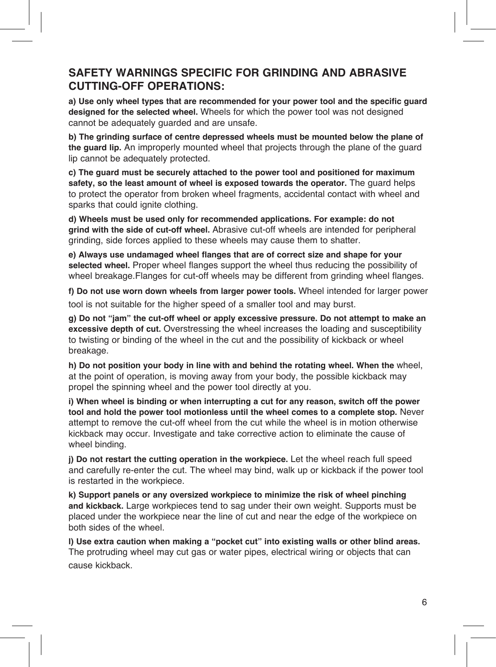### **SAFETY WARNINGS SPECIFIC FOR GRINDING AND ABRASIVE CUTTING-OFF OPERATIONS:**

**a) Use only wheel types that are recommended for your power tool and the specific guard designed for the selected wheel.** Wheels for which the power tool was not designed cannot be adequately guarded and are unsafe.

**b) The grinding surface of centre depressed wheels must be mounted below the plane of the guard lip.** An improperly mounted wheel that projects through the plane of the guard lip cannot be adequately protected.

**c) The guard must be securely attached to the power tool and positioned for maximum safety, so the least amount of wheel is exposed towards the operator.** The guard helps to protect the operator from broken wheel fragments, accidental contact with wheel and sparks that could ignite clothing.

**d) Wheels must be used only for recommended applications. For example: do not grind with the side of cut-off wheel.** Abrasive cut-off wheels are intended for peripheral grinding, side forces applied to these wheels may cause them to shatter.

**e) Always use undamaged wheel flanges that are of correct size and shape for your selected wheel.** Proper wheel flanges support the wheel thus reducing the possibility of wheel breakage.Flanges for cut-off wheels may be different from grinding wheel flanges.

**f) Do not use worn down wheels from larger power tools.** Wheel intended for larger power tool is not suitable for the higher speed of a smaller tool and may burst.

**g) Do not "jam" the cut-off wheel or apply excessive pressure. Do not attempt to make an excessive depth of cut.** Overstressing the wheel increases the loading and susceptibility to twisting or binding of the wheel in the cut and the possibility of kickback or wheel breakage.

**h) Do not position your body in line with and behind the rotating wheel. When the** wheel, at the point of operation, is moving away from your body, the possible kickback may propel the spinning wheel and the power tool directly at you.

**i) When wheel is binding or when interrupting a cut for any reason, switch off the power tool and hold the power tool motionless until the wheel comes to a complete stop.** Never attempt to remove the cut-off wheel from the cut while the wheel is in motion otherwise kickback may occur. Investigate and take corrective action to eliminate the cause of wheel binding.

**j) Do not restart the cutting operation in the workpiece.** Let the wheel reach full speed and carefully re-enter the cut. The wheel may bind, walk up or kickback if the power tool is restarted in the workpiece.

**k) Support panels or any oversized workpiece to minimize the risk of wheel pinching and kickback.** Large workpieces tend to sag under their own weight. Supports must be placed under the workpiece near the line of cut and near the edge of the workpiece on both sides of the wheel.

**l) Use extra caution when making a "pocket cut" into existing walls or other blind areas.** The protruding wheel may cut gas or water pipes, electrical wiring or objects that can cause kickback.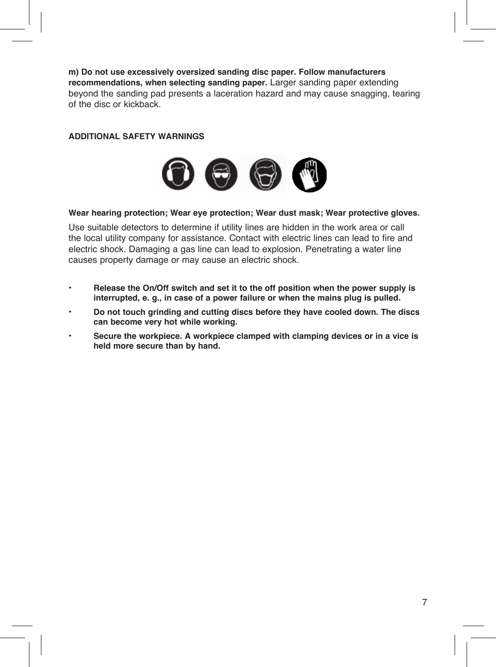**m) Do not use excessively oversized sanding disc paper. Follow manufacturers recommendations, when selecting sanding paper.** Larger sanding paper extending beyond the sanding pad presents a laceration hazard and may cause snagging, tearing of the disc or kickback.

#### **ADDITIONAL SAFETY WARNINGS**



#### **Wear hearing protection; Wear eye protection; Wear dust mask; Wear protective gloves.**

Use suitable detectors to determine if utility lines are hidden in the work area or call the local utility company for assistance. Contact with electric lines can lead to fire and electric shock. Damaging a gas line can lead to explosion. Penetrating a water line causes property damage or may cause an electric shock.

- **Release the On/Off switch and set it to the off position when the power supply is interrupted, e. g., in case of a power failure or when the mains plug is pulled.**
- **Do not touch grinding and cutting discs before they have cooled down. The discs can become very hot while working.**
- **Secure the workpiece. A workpiece clamped with clamping devices or in a vice is held more secure than by hand.**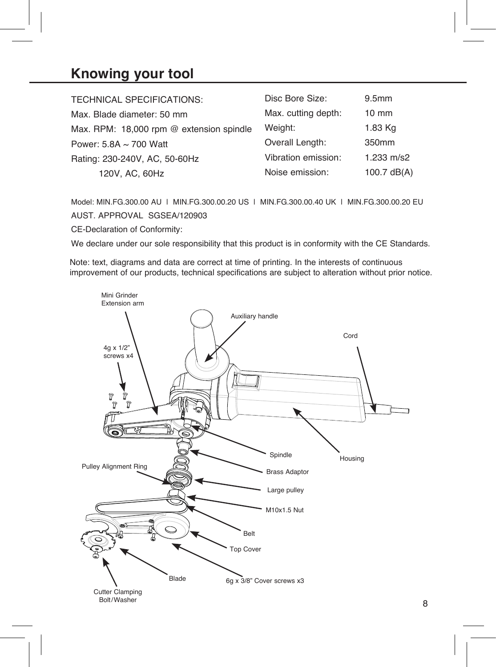### **Knowing your tool**

| <b>TECHNICAL SPECIFICATIONS:</b>         | Disc Bore Size:     | 9.5 <sub>mm</sub> |
|------------------------------------------|---------------------|-------------------|
| Max. Blade diameter: 50 mm               | Max. cutting depth: | $10 \text{ mm}$   |
| Max. RPM: 18,000 rpm @ extension spindle | Weight:             | 1.83 Kg           |
| Power: $5.8A \sim 700$ Watt              | Overall Length:     | 350mm             |
| Rating: 230-240V, AC, 50-60Hz            | Vibration emission: | 1.233 m/s2        |
| 120V, AC, 60Hz                           | Noise emission:     | 100.7 $dB(A)$     |

Model: MIN.FG.300.00 AU | MIN.FG.300.00.20 US | MIN.FG.300.00.40 UK | MIN.FG.300.00.20 EU AUST. APPROVAL SGSEA/120903 CE-Declaration of Conformity:

We declare under our sole responsibility that this product is in conformity with the CE Standards.

Note: text, diagrams and data are correct at time of printing. In the interests of continuous improvement of our products, technical specifications are subject to alteration without prior notice.

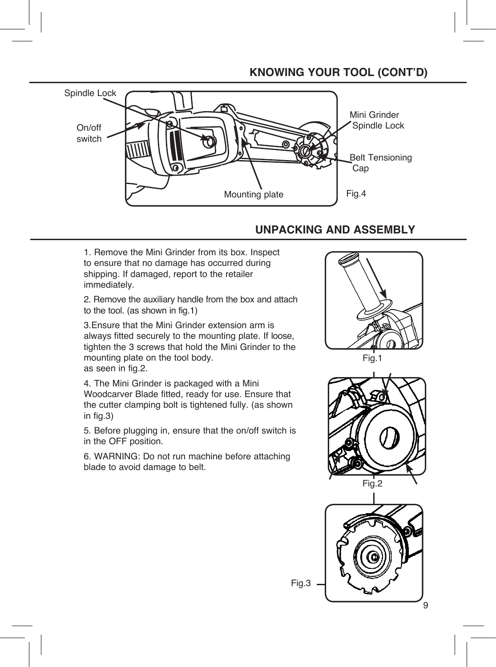### **KNOWING YOUR TOOL (CONT'D)**



### **UNPACKING AND ASSEMBLY**

1. Remove the Mini Grinder from its box. Inspect to ensure that no damage has occurred during shipping. If damaged, report to the retailer immediately.

2. Remove the auxiliary handle from the box and attach to the tool. (as shown in fig.1)

3.Ensure that the Mini Grinder extension arm is always fitted securely to the mounting plate. If loose, tighten the 3 screws that hold the Mini Grinder to the mounting plate on the tool body. as seen in fig.2.

4. The Mini Grinder is packaged with a Mini Woodcarver Blade fitted, ready for use. Ensure that the cutter clamping bolt is tightened fully. (as shown in fig.3)

5. Before plugging in, ensure that the on/off switch is in the OFF position.

6. WARNING: Do not run machine before attaching blade to avoid damage to belt.





Fig.3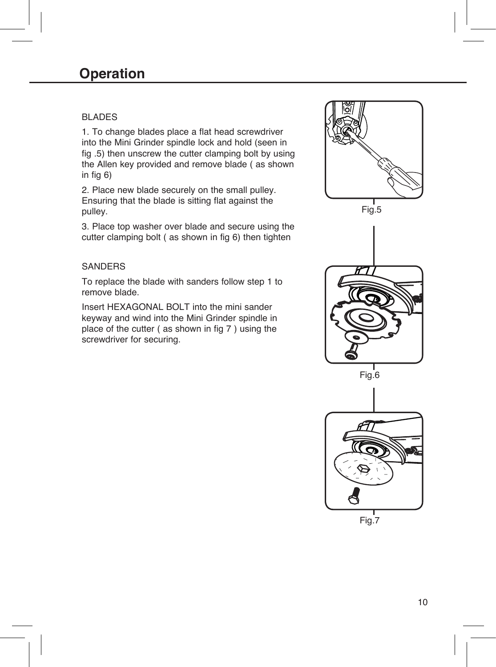#### BLADES

1. To change blades place a flat head screwdriver into the Mini Grinder spindle lock and hold (seen in fig .5) then unscrew the cutter clamping bolt by using the Allen key provided and remove blade ( as shown in fig 6)

2. Place new blade securely on the small pulley. Ensuring that the blade is sitting flat against the pulley.

3. Place top washer over blade and secure using the cutter clamping bolt ( as shown in fig 6) then tighten

#### **SANDERS**

To replace the blade with sanders follow step 1 to remove blade.

Insert HEXAGONAL BOLT into the mini sander keyway and wind into the Mini Grinder spindle in place of the cutter ( as shown in fig 7 ) using the screwdriver for securing.



Fig.7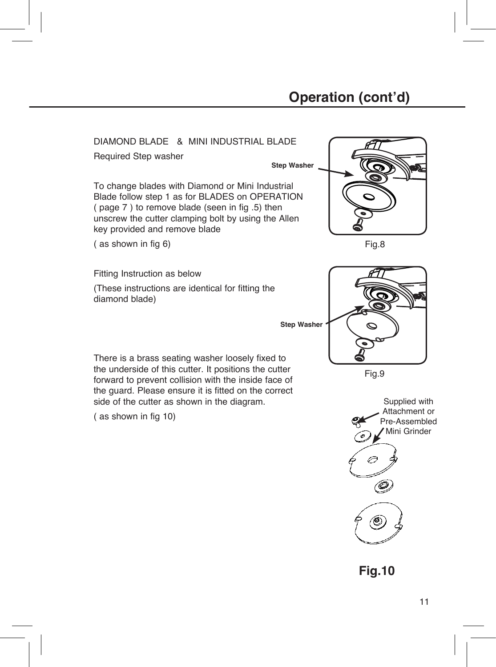## **Operation (cont'd)**

DIAMOND BLADE & MINI INDUSTRIAL BLADE

Required Step washer

**Step Washer**

To change blades with Diamond or Mini Industrial Blade follow step 1 as for BLADES on OPERATION ( page 7 ) to remove blade (seen in fig .5) then unscrew the cutter clamping bolt by using the Allen key provided and remove blade

( as shown in fig 6)

Fitting Instruction as below

(These instructions are identical for fitting the diamond blade)

**Step Washer**

There is a brass seating washer loosely fixed to the underside of this cutter. It positions the cutter forward to prevent collision with the inside face of the guard. Please ensure it is fitted on the correct side of the cutter as shown in the diagram.

( as shown in fig 10)







Fig.9



**Fig.10**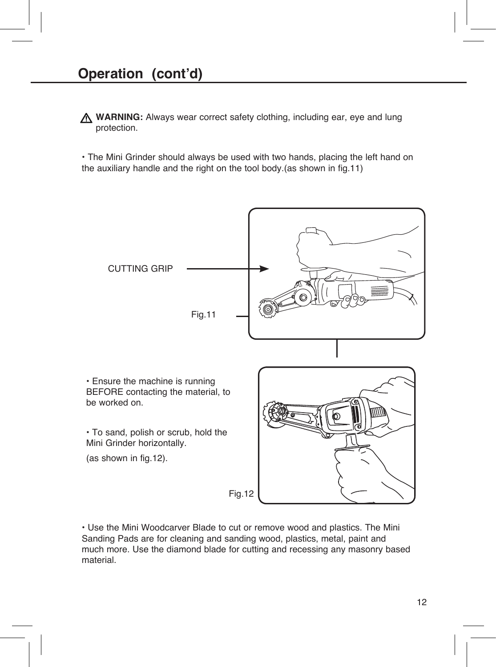**WARNING:** Always wear correct safety clothing, including ear, eye and lung protection.

• The Mini Grinder should always be used with two hands, placing the left hand on the auxiliary handle and the right on the tool body (as shown in fig. 11)



• Use the Mini Woodcarver Blade to cut or remove wood and plastics. The Mini Sanding Pads are for cleaning and sanding wood, plastics, metal, paint and much more. Use the diamond blade for cutting and recessing any masonry based material.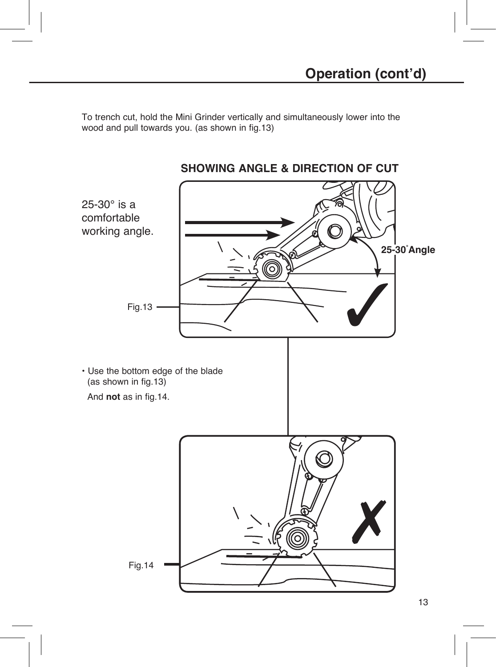To trench cut, hold the Mini Grinder vertically and simultaneously lower into the wood and pull towards you. (as shown in fig.13)

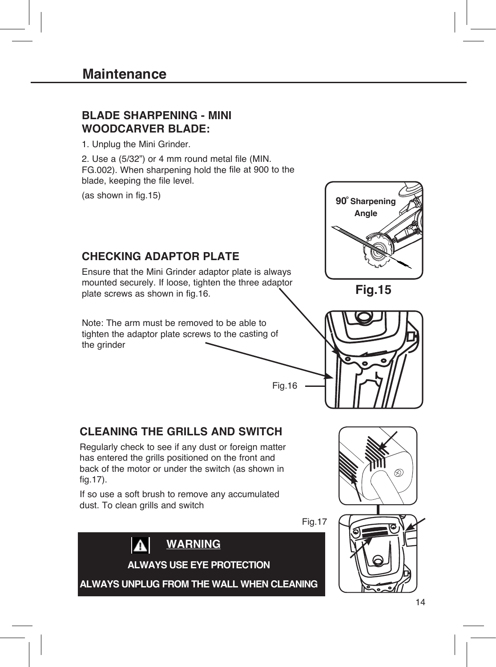### **BLADE SHARPENING - MINI WOODCARVER BLADE:**

1. Unplug the Mini Grinder.

2. Use a (5/32") or 4 mm round metal file (MIN. FG.002). When sharpening hold the file at 900 to the blade, keeping the file level.

(as shown in fig.15)



Fig.17

If so use a soft brush to remove any accumulated dust. To clean grills and switch



14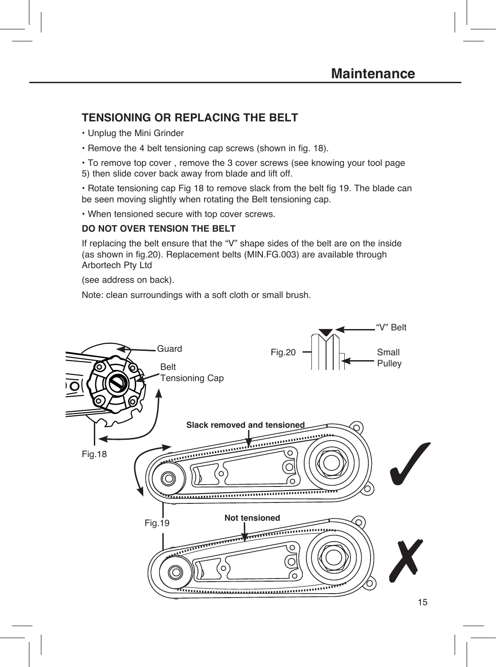### **TENSIONING OR REPLACING THE BELT**

- Unplug the Mini Grinder
- Remove the 4 belt tensioning cap screws (shown in fig. 18).

• To remove top cover , remove the 3 cover screws (see knowing your tool page 5) then slide cover back away from blade and lift off.

• Rotate tensioning cap Fig 18 to remove slack from the belt fig 19. The blade can be seen moving slightly when rotating the Belt tensioning cap.

• When tensioned secure with top cover screws.

#### **DO NOT OVER TENSION THE BELT**

If replacing the belt ensure that the "V" shape sides of the belt are on the inside (as shown in fig.20). Replacement belts (MIN.FG.003) are available through Arbortech Pty Ltd

(see address on back).

Note: clean surroundings with a soft cloth or small brush.

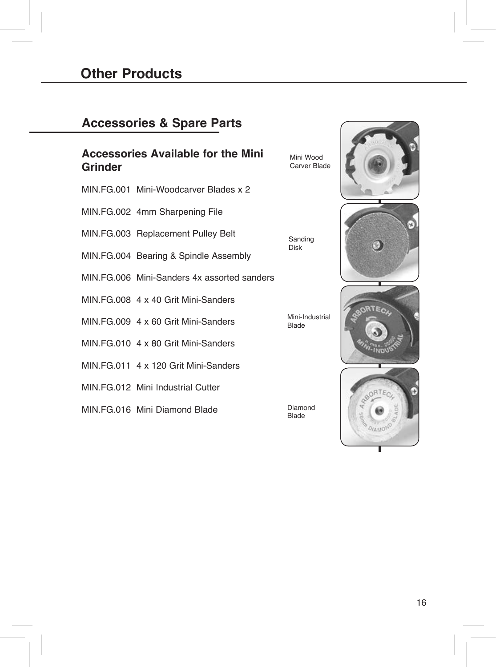### **Accessories & Spare Parts**

### **Accessories Available for the Mini Grinder**

- MIN.FG.001 Mini-Woodcarver Blades x 2
- MIN.FG.002 4mm Sharpening File
- MIN.FG.003 Replacement Pulley Belt
- MIN.FG.004 Bearing & Spindle Assembly
- MIN.FG.006 Mini-Sanders 4x assorted sanders
- MIN.FG.008 4 x 40 Grit Mini-Sanders
- MIN.FG.009 4 x 60 Grit Mini-Sanders
- MIN.FG.010 4 x 80 Grit Mini-Sanders
- MIN.FG.011 4 x 120 Grit Mini-Sanders
- MIN.FG.012 Mini Industrial Cutter
- MIN.FG.016 Mini Diamond Blade

Mini Wood Carver Blade

Sanding Disk

Mini-Industrial Blade

Diamond Blade







16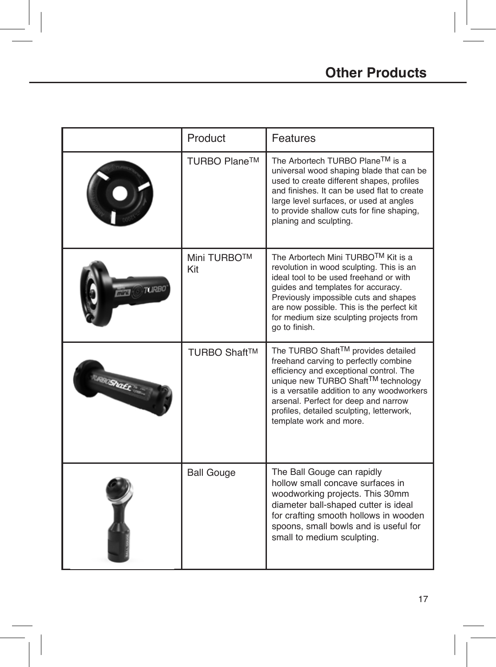|                  | Product                   | Features                                                                                                                                                                                                                                                                                                                   |  |
|------------------|---------------------------|----------------------------------------------------------------------------------------------------------------------------------------------------------------------------------------------------------------------------------------------------------------------------------------------------------------------------|--|
|                  | TURBO Plane™              | The Arbortech TURBO Plane™ is a<br>universal wood shaping blade that can be<br>used to create different shapes, profiles<br>and finishes. It can be used flat to create<br>large level surfaces, or used at angles<br>to provide shallow cuts for fine shaping,<br>planing and sculpting.                                  |  |
| TURRI            | <b>Mini TURBO™</b><br>Kit | The Arbortech Mini TURBOTM Kit is a<br>revolution in wood sculpting. This is an<br>ideal tool to be used freehand or with<br>quides and templates for accuracy.<br>Previously impossible cuts and shapes<br>are now possible. This is the perfect kit<br>for medium size sculpting projects from<br>go to finish.          |  |
| <b>IRBOShaEt</b> | TURBO Shaft™              | The TURBO Shaft™ provides detailed<br>freehand carving to perfectly combine<br>efficiency and exceptional control. The<br>unique new TURBO Shaft™ technology<br>is a versatile addition to any woodworkers<br>arsenal. Perfect for deep and narrow<br>profiles, detailed sculpting, letterwork,<br>template work and more. |  |
|                  | <b>Ball Gouge</b>         | The Ball Gouge can rapidly<br>hollow small concave surfaces in<br>woodworking projects. This 30mm<br>diameter ball-shaped cutter is ideal<br>for crafting smooth hollows in wooden<br>spoons, small bowls and is useful for<br>small to medium sculpting.                                                                  |  |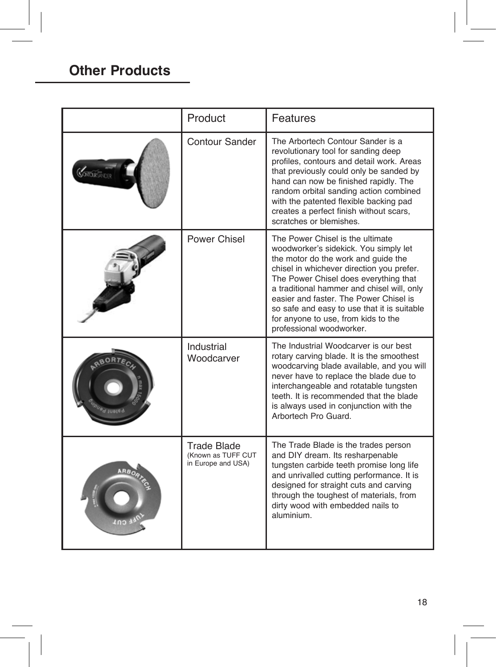### **Other Products**

| Product                                                        | Features                                                                                                                                                                                                                                                                                                                                                                                                         |  |
|----------------------------------------------------------------|------------------------------------------------------------------------------------------------------------------------------------------------------------------------------------------------------------------------------------------------------------------------------------------------------------------------------------------------------------------------------------------------------------------|--|
| Contour Sander                                                 | The Arbortech Contour Sander is a<br>revolutionary tool for sanding deep<br>profiles, contours and detail work. Areas<br>that previously could only be sanded by<br>hand can now be finished rapidly. The<br>random orbital sanding action combined<br>with the patented flexible backing pad<br>creates a perfect finish without scars,<br>scratches or blemishes.                                              |  |
| Power Chisel                                                   | The Power Chisel is the ultimate<br>woodworker's sidekick. You simply let<br>the motor do the work and quide the<br>chisel in whichever direction you prefer.<br>The Power Chisel does everything that<br>a traditional hammer and chisel will, only<br>easier and faster. The Power Chisel is<br>so safe and easy to use that it is suitable<br>for anyone to use, from kids to the<br>professional woodworker. |  |
| Industrial<br>Woodcarver                                       | The Industrial Woodcarver is our best<br>rotary carving blade. It is the smoothest<br>woodcarving blade available, and you will<br>never have to replace the blade due to<br>interchangeable and rotatable tungsten<br>teeth. It is recommended that the blade<br>is always used in conjunction with the<br>Arbortech Pro Guard.                                                                                 |  |
| <b>Trade Blade</b><br>(Known as TUFF CUT<br>in Europe and USA) | The Trade Blade is the trades person<br>and DIY dream. Its resharpenable<br>tungsten carbide teeth promise long life<br>and unrivalled cutting performance. It is<br>designed for straight cuts and carving<br>through the toughest of materials, from<br>dirty wood with embedded nails to<br>aluminium.                                                                                                        |  |